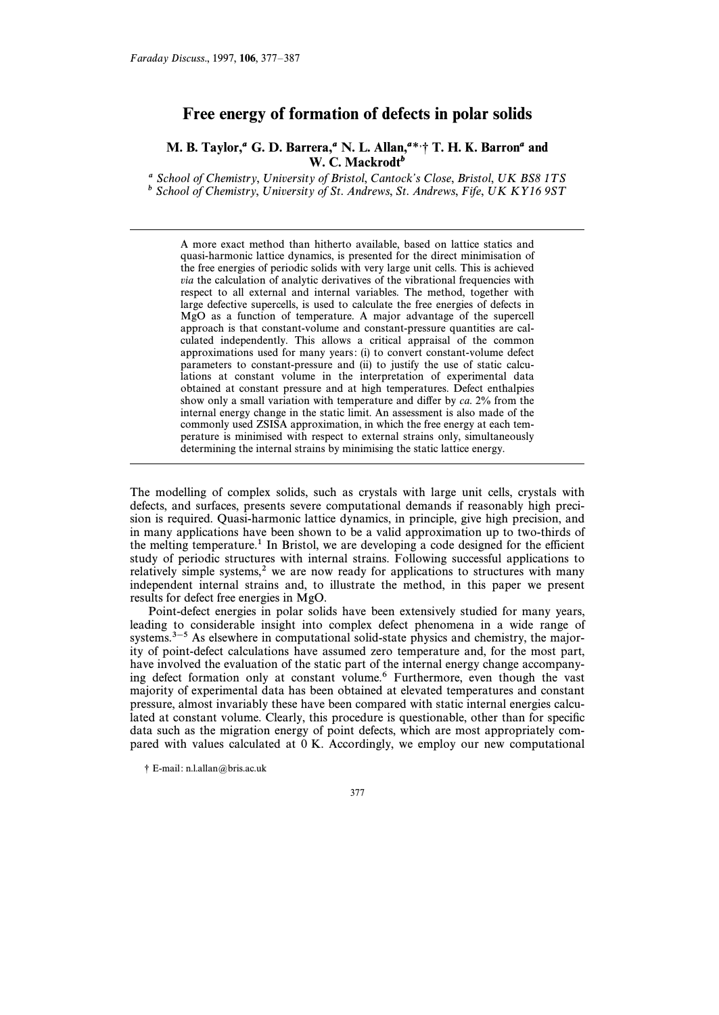# Free energy of formation of defects in polar solids

## M. B. Taylor,<sup>*a*</sup> G. D. Barrera,<sup>*a*</sup> N. L. Allan,<sup>*a*\*,†</sup> T. H. K. Barron<sup>*a*</sup> and W. C. Mackrodt*b*

<sup>a</sup> School of Chemistry, University of Bristol, Cantock's Close, Bristol, UK BS8 1TS

b School of Chemistry, University of St. Andrews, St. Andrews, Fife, UK KY 16 9ST

A more exact method than hitherto available, based on lattice statics and quasi-harmonic lattice dynamics, is presented for the direct minimisation of the free energies of periodic solids with very large unit cells. This is achieved via the calculation of analytic derivatives of the vibrational frequencies with respect to all external and internal variables. The method, together with large defective supercells, is used to calculate the free energies of defects in MgO as a function of temperature. A major advantage of the supercell approach is that constant-volume and constant-pressure quantities are calculated independently. This allows a critical appraisal of the common approximations used for many years: (i) to convert constant-volume defect parameters to constant-pressure and (ii) to justify the use of static calculations at constant volume in the interpretation of experimental data obtained at constant pressure and at high temperatures. Defect enthalpies show only a small variation with temperature and differ by  $ca. 2\%$  from the internal energy change in the static limit. An assessment is also made of the commonly used ZSISA approximation, in which the free energy at each temperature is minimised with respect to external strains only, simultaneously determining the internal strains by minimising the static lattice energy.

The modelling of complex solids, such as crystals with large unit cells, crystals with defects, and surfaces, presents severe computational demands if reasonably high precision is required. Quasi-harmonic lattice dynamics, in principle, give high precision, and in many applications have been shown to be a valid approximation up to two-thirds of the melting temperature.<sup>1</sup> In Bristol, we are developing a code designed for the efficient study of periodic structures with internal strains. Following successful applications to relatively simple systems, $2$  we are now ready for applications to structures with many independent internal strains and, to illustrate the method, in this paper we present results for defect free energies in MgO.

Point-defect energies in polar solids have been extensively studied for many years, leading to considerable insight into complex defect phenomena in a wide range of systems. $3-5$  As elsewhere in computational solid-state physics and chemistry, the majority of point-defect calculations have assumed zero temperature and, for the most part, have involved the evaluation of the static part of the internal energy change accompanying defect formation only at constant volume.<sup>6</sup> Furthermore, even though the vast majority of experimental data has been obtained at elevated temperatures and constant pressure, almost invariably these have been compared with static internal energies calculated at constant volume. Clearly, this procedure is questionable, other than for specific data such as the migration energy of point defects, which are most appropriately compared with values calculated at 0 K. Accordingly, we employ our new computational

¤ E-mail: n.l.allan=bris.ac.uk

377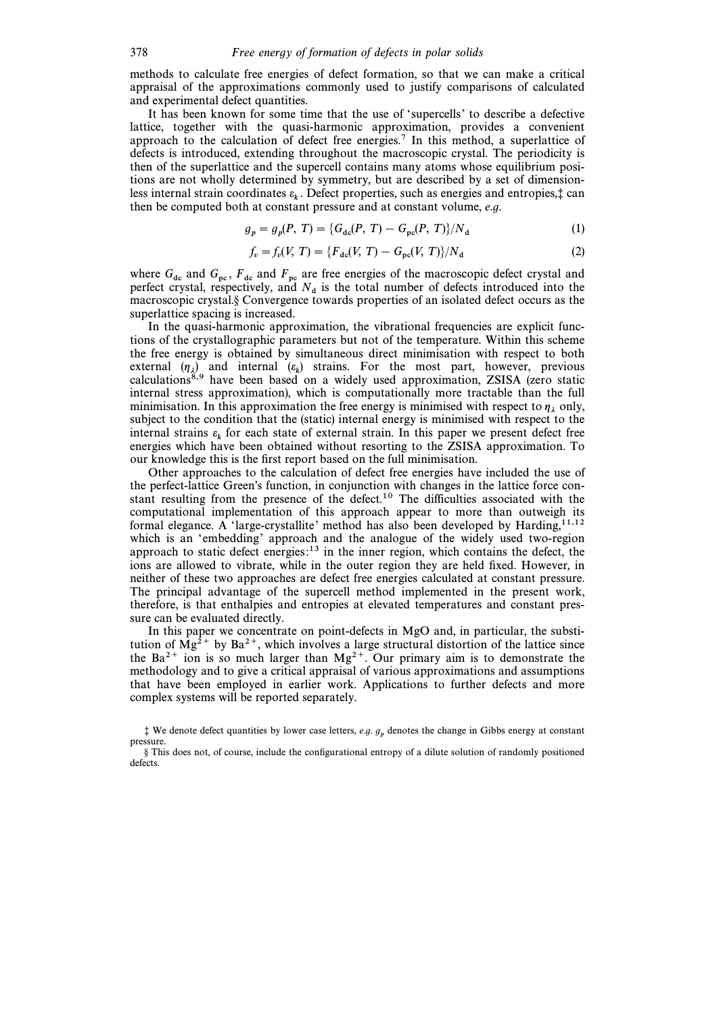methods to calculate free energies of defect formation, so that we can make a critical appraisal of the approximations commonly used to justify comparisons of calculated and experimental defect quantities.

It has been known for some time that the use of 'supercells' to describe a defective lattice, together with the quasi-harmonic approximation, provides a convenient approach to the calculation of defect free energies.<sup>7</sup> In this method, a superlattice of defects is introduced, extending throughout the macroscopic crystal. The periodicity is then of the superlattice and the supercell contains many atoms whose equilibrium positions are not wholly determined by symmetry, but are described by a set of dimensionless internal strain coordinates  $\varepsilon_k$ . Defect properties, such as energies and entropies, $\ddagger$  can then be computed both at constant pressure and at constant volume, e.g.

$$
g_p = g_p(P, T) = \{G_{\rm dc}(P, T) - G_{\rm pc}(P, T)\}/N_{\rm d}
$$
 (1)

$$
f_v = f_v(V, T) = \{ F_{\text{dc}}(V, T) - G_{\text{pc}}(V, T) \} / N_{\text{d}} \tag{2}
$$

where  $G_{\text{dc}}$  and  $G_{\text{pc}}$ ,  $F_{\text{dc}}$  and  $F_{\text{pc}}$  are free energies of the macroscopic defect crystal and perfect crystal, respectively, and  $N_{\text{d}}$  is the total number of defects introduced into the macroscopic cr superlattice spacing is increased.

In the quasi-harmonic approximation, the vibrational frequencies are explicit functions of the crystallographic parameters but not of the temperature. Within this scheme the free energy is obtained by simultaneous direct minimisation with respect to both external  $(\eta_{\lambda})$  and internal  $(\varepsilon_k)$  strains. For the most part, however, previous calculations<sup>8,9</sup> have been based on a widely used approximation **ZSISA** (zero stationary) calculations<sup>8,9</sup> have been based on a widely used approximation, ZSISA (zero static internal stress approximation), which is computationally more tractable than the full minimisation. In this approximation the free energy is minimised with respect to  $\eta_{\lambda}$  only, subject to the condition that the (static) internal energy is minimised with respect to the internal strains  $\varepsilon_k$  for each state of external strain. In this paper we present defect free <sup>k</sup> energies which have been obtained without resorting to the ZSISA approximation. To our knowledge this is the first report based on the full minimisation.

Other approaches to the calculation of defect free energies have included the use of the perfect-lattice Green's function, in conjunction with changes in the lattice force constant resulting from the presence of the defect.<sup>10</sup> The difficulties associated with the computational implementation of this approach appear to more than outweigh its formal elegance. A 'large-crystallite' method has also been developed by Harding, $11,12$ which is an 'embedding' approach and the analogue of the widely used two-region approach to static defect energies:13 in the inner region, which contains the defect, the ions are allowed to vibrate, while in the outer region they are held fixed. However, in neither of these two approaches are defect free energies calculated at constant pressure. The principal advantage of the supercell method implemented in the present work, therefore, is that enthalpies and entropies at elevated temperatures and constant pressure can be evaluated directly.

In this paper we concentrate on point-defects in MgO and, in particular, the substitution of  $\hat{M}g^2$ <sup>+</sup> by Ba<sup>2+</sup>, which involves a large structural distortion of the lattice since the Ba<sup>2+</sup> ion is so much larger than Mg<sup>2+</sup>. Our primary aim is to demonstrate the methodology and to give a critical appraisal of various approximations and assumptions that have been employed in earlier work. Applications to further defects and more complex systems will be reported separately.

 $\ddagger$  We denote defect quantities by lower case letters, *e.g.*  $g_p$  denotes the change in Gibbs energy at constant pressure.

<sup>§</sup> This does not, of course, include the configurational entropy of a dilute solution of randomly positioned defects.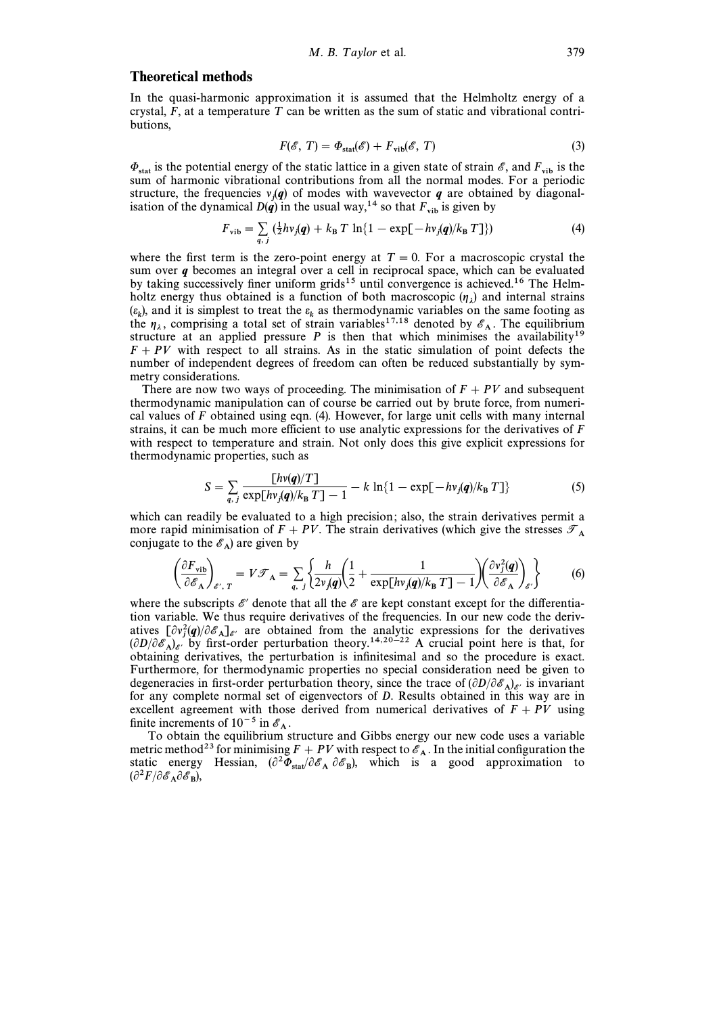## Theoretical methods

In the quasi-harmonic approximation it is assumed that the Helmholtz energy of a crystal,  $F$ , at a temperature  $T$  can be written as the sum of static and vibrational contributions,

$$
F(\mathscr{E}, T) = \Phi_{\text{stat}}(\mathscr{E}) + F_{\text{vib}}(\mathscr{E}, T)
$$
\n(3)

 $\Phi_{stat}$  is the potential energy of the static lattice in a given state of strain  $\mathscr{E}$ , and  $F_{vib}$  is the sum of harmonic vibrational contributions from all the normal modes. For a periodic structure, the frequencies  $v_j(q)$  of modes with wavevector q are obtained by diagonal-<br>isotion of the dynamical  $D(q)$  in the usual way <sup>14</sup> so that  $F$  is given by isation of the dynamical  $D(q)$  in the usual way,<sup>14</sup> so that  $F_{\text{vib}}$  is given by

$$
F_{\text{vib}} = \sum_{q,j} \left( \frac{1}{2} h v_j(\boldsymbol{q}) + k_{\text{B}} T \ln\{1 - \exp[-h v_j(\boldsymbol{q})/k_{\text{B}} T] \} \right) \tag{4}
$$

where the first term is the zero-point energy at  $T = 0$ . For a macroscopic crystal the sum over *q* becomes an integral over a cell in reciprocal space, which can be evaluated by taking successively finer uniform grids<sup>15</sup> until convergence is achieved.<sup>16</sup> The Helmholtz energy thus obtained is a function of both macroscopic  $(\eta_{\lambda})$  and internal strains field and it is simplest to treat the  $\varepsilon_k$  as thermodynamic variables on the same footing as  $(k)$ , and it is simplest to treat the as the same footing as total set of strain variables <sup>17,18</sup> denoted by  $\ell$ . The equili  $(e_k)$ , and it is simplest to treat the  $e_k$  as thermodynamic variables on the same footing as total set of strain variables  $\theta$  is then that which minimizes the equilibrium strain strain variables the availability  $19$ structure at an applied pressure P is then that which minimises the availability<sup>19</sup>  $F + PV$  with respect to all strains. As in the static simulation of point defects the number of independent degrees of freedom can often be reduced substantially by symmetry considerations.

There are now two ways of proceeding. The minimisation of  $F + PV$  and subsequent thermodynamic manipulation can of course be carried out by brute force, from numerical values of  $F$  obtained using eqn. (4). However, for large unit cells with many internal strains, it can be much more efficient to use analytic expressions for the derivatives of  $F$ with respect to temperature and strain. Not only does this give explicit expressions for thermodynamic properties, such as

$$
S = \sum_{q,j} \frac{\left[ h v(q)/T \right]}{\exp[h v_j(q)/k_B T] - 1} - k \ln\{1 - \exp[-h v_j(q)/k_B T] \} \tag{5}
$$

which can readily be evaluated to a high precision; also, the strain derivatives permit a more rapid minimisation of  $F + PV$ . The strain derivatives (which give the stresses  $\mathcal{T}_A$ 

te to the 
$$
\mathscr{E}_{A}
$$
) are given by  
\n
$$
\left(\frac{\partial F_{\text{vib}}}{\partial \mathscr{E}_{A}}\right)_{\mathscr{E}',T} = V\mathscr{F}_{A} = \sum_{q,\ j} \left\{ \frac{h}{2v_{j}(q)} \left( \frac{1}{2} + \frac{1}{\exp[hv_{j}(q)/k_{B}T] - 1} \right) \left( \frac{\partial v_{j}^{2}(q)}{\partial \mathscr{E}_{A}} \right)_{\mathscr{E}'} \right\}
$$
\n(6)

where the subscripts  $\mathscr E'$  denote that all the  $\mathscr E$  are kept constant except for the differentiation variable. We thus require derivatives of the frequencies. In our new code the derivatives  $[\partial v_j^2(q)/\partial \mathscr{E}_A]_{\mathscr{E}}$  are obtained from the analytic expressions for the derivatives  $(\partial D/\partial \mathscr{E}_A)_{\mathscr{E}}$  by first-order perturbation theory.<sup>14,20–22</sup> A crucial point here is that, for obtaining derivative obtaining derivatives, the perturbation is infinitesimal and so the procedure is exact. Furthermore, for thermodynamic properties no special consideration need be given to degeneracies in first-order perturbation theory, since the trace of  $(\partial D/\partial \mathscr{E}_A)_{\ell'}$  is invariant for any complete normal set of eigenvectors of D. Besults obtained in this way are in for any complete normal set of eigenvectors of  $D$ . Results obtained in this way are in excellent agreement with those derived from numerical derivatives of  $F + PV$  using finite increments of  $10^{-5}$  in  $\mathscr{E}_A$ .

To obtain the equilibrium structure and Gibbs energy our new code uses a variable metric method<sup>23</sup> for minimising  $F + PV$  with respect to  $\mathscr{E}_{A}$ . In the initial configuration the static energy Hessian,  $\left(\frac{\partial^2 \Phi_{\text{stat}}}{\partial \mathscr{E}_A} \frac{\partial \mathscr{E}_B}{\partial \mathscr{E}_B}\right)$ , which is a good approximation to  $(\partial^2 F/\partial \mathscr{E}_A \partial \mathscr{E}_B)$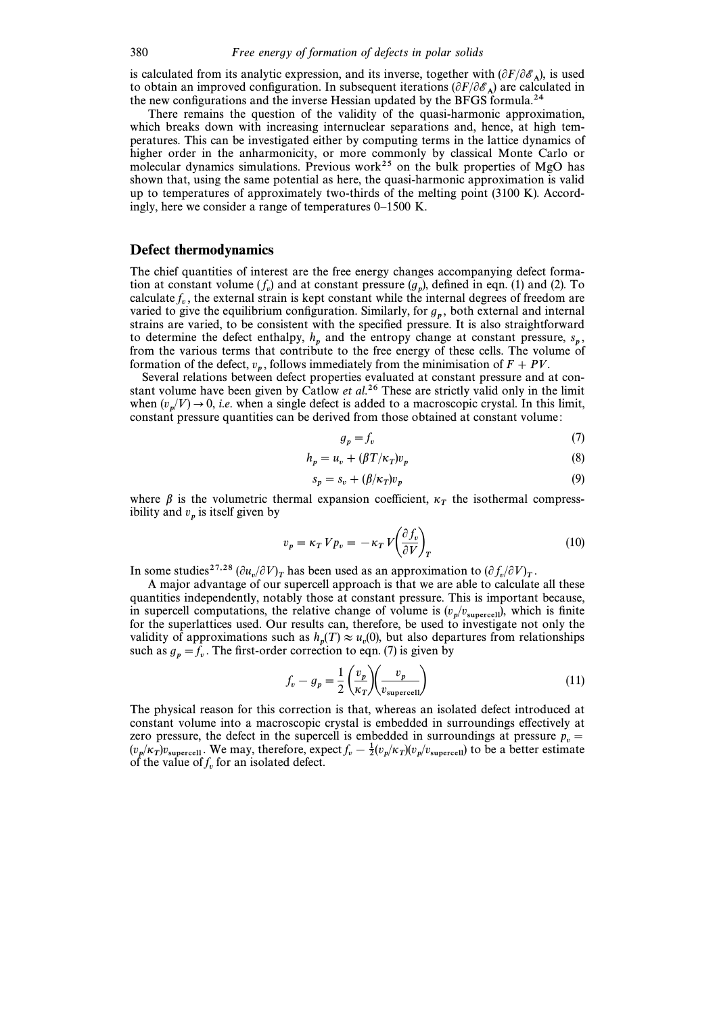is calculated from its analytic expression, and its inverse, together with  $(\partial F/\partial \mathscr{E}_A)$ , is used to obtain an improved configuration. In subsequent iterations  $(\partial F/\partial \mathscr{E}_A)$  are calculated in to obtain an improved configuration. In subsequent iterations  $(\partial F/\partial \mathscr{E}_A)$  are calculated in the new configurations and the inverse Hessian undated by the BEGS formula <sup>24</sup> the new configurations and the inverse Hessian updated by the BFGS formula.<sup>24</sup>

There remains the question of the validity of the quasi-harmonic approximation, which breaks down with increasing internuclear separations and, hence, at high temperatures. This can be investigated either by computing terms in the lattice dynamics of higher order in the anharmonicity, or more commonly by classical Monte Carlo or molecular dynamics simulations. Previous work<sup>25</sup> on the bulk properties of MgO has shown that, using the same potential as here, the quasi-harmonic approximation is valid up to temperatures of approximately two-thirds of the melting point (3100 K). Accordingly, here we consider a range of temperatures  $0-1500$  K.

### Defect thermodynamics

The chief quantities of interest are the free energy changes accompanying defect formation at constant volume  $(f_v)$  and at constant pressure  $(g_v)$ , defined in eqn. (1) and (2). To calculate  $f_v$ , the external strain is kept constant while the internal degrees of freedom are varied to give the equilibrium configuration. Similarly, for  $g_n$ , both external and internal grade varied to give the equilibrium configuration. Similarly, for  $g_n$ , both external and internal strains are varied, to be consistent with the specified pressure. It is also straightforward to determine the defect enthalpy,  $h_p$  and the entropy change at constant pressure,  $s_p$ , from the volume that contribute to the free energy of these cells. The volume of from the various terms that contribute to the free energy of these cells. The volume of  $f$ formation of the defect,  $v_p$ , follows immediately from the minimisation of  $F + PV$ .<br>Several relations between defect properties evaluated at constant pressure and

Several relations between defect properties evaluated at constant pressure and at constant volume have been given by Catlow et  $al^{26}$  These are strictly valid only in the limit when  $(v_p/V) \rightarrow 0$ , *i.e.* when a single defect is added to a macroscopic crystal. In this limit, constant pressure quantities can be derived from those obtained at constant volume: constant pressure quantities can be derived from those obtained at constant volume:

$$
g_p = f_v \tag{7}
$$

$$
h_p = u_v + (\beta T/\kappa_T)v_p \tag{8}
$$

$$
s_p = s_v + (\beta/\kappa_T)v_p \tag{9}
$$

where  $\beta$  is the volumetric thermal expansion coefficient,  $\kappa_T$  the isothermal compresswhere  $p$  is the volument thermal expansion coefficient,  $\kappa_T$  ibility and  $v_p$  is itself given by

$$
v_p = \kappa_T V p_v = -\kappa_T V \left(\frac{\partial f_v}{\partial V}\right)_T
$$
\n(10)

In some studies<sup>27,28</sup>  $(\partial u_v/\partial V)_T$  has been used as an approximation to  $(\partial f_v/\partial V)_T$ .

A major advantage of our supercell approach is that we are able to calculate all these quantities independently, notably those at constant pressure. This is important because, in supercell computations, the relative change of volume is  $(v_p/v_{\text{supercell}})$ , which is finite for the superlattices used. Our results can therefore be used to investigate not only the for the superlattices used. Our results can, therefore, be used to investigate not only the validity of approximations such as  $h_p(T) \approx u_p(0)$ , but also departures from relationships such as  $g_p = f_v$ . The first-order correction to eqn. (7) is given by  $f = g = \frac{1}{v_p} \left( \frac{v_p}{v_p} \right) \left( \frac{v_p}{v_p} \right)$ 

$$
f_v - g_p = \frac{1}{2} \left( \frac{v_p}{\kappa_T} \right) \left( \frac{v_p}{v_{\text{supercell}}} \right) \tag{11}
$$

The physical reason for this correction is that, whereas an isolated defect introduced at constant volume into a macroscopic crystal is embedded in surroundings e†ectively at zero pressure, the defect in the supercell is embedded in surroundings at pressure  $p_v =$  $(v_p/\kappa_T) v_{\text{supercell}}$ . We may, therefore, expect  $f_v - \frac{1}{2} (v_p/\kappa_T) (v_p/v_{\text{supercell}})$  to be a better estimate of the value of  $f_v$  for an isolated defect.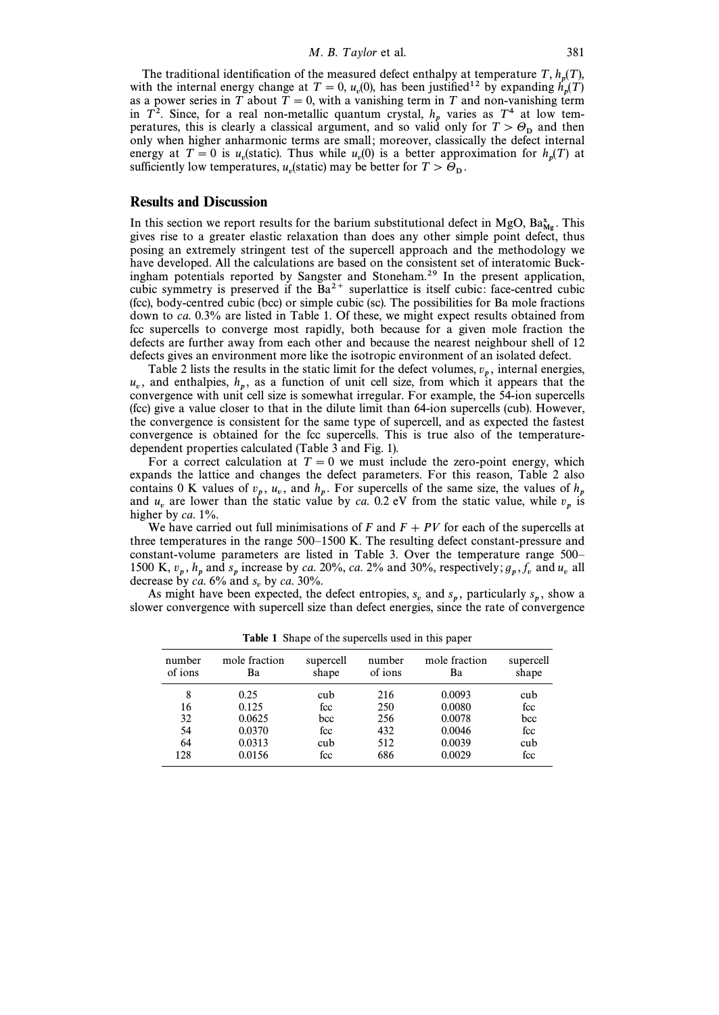The traditional identification of the measured defect enthalpy at temperature  $T$ ,  $h_p(T)$ , with the internal energy change at T = 0,  $u_v(0)$ , has been justified <sup>12</sup> by expanding  $h_p(T)$ <br>as a nower series in T about  $T = 0$ , with a vanishing term in T and non-vanishing term as a power series in T about  $T = 0$ , with a vanishing term in T and non-vanishing term  $T$ in  $T^2$ . Since, for a real non-metallic quantum crystal,  $h_p$  varies as  $T^4$  at low temperatures, this is clearly a classical argument, and so valid only for  $T > \Theta_D$  and then only when higher anharmonic terms are small; energy at  $T = 0$  is  $u_v$  (static). Thus while  $u_v(0)$  is a better approximation for  $h_p(T)$  at sufficiently low temperatures u (static) may be better for  $T > 0$ sufficiently low temperatures,  $u_v$ (static) may be better for  $T > \Theta_D$ .

### Results and Discussion

In this section we report results for the barium substitutional defect in MgO,  $Ba_{Mg}^x$ . This gives rise to a greater elastic relaxation than does any other simple point defect, thus posing an extremely stringent test of the supercell approach and the methodology we have developed. All the calculations are based on the consistent set of interatomic Buckingham potentials reported by Sangster and Stoneham.29 In the present application, cubic symmetry is preserved if the  $\overline{Ba^2}^+$  superlattice is itself cubic: face-centred cubic (fcc), body-centred cubic (bcc) or simple cubic (sc). The possibilities for Ba mole fractions down to ca. 0.3% are listed in Table 1. Of these, we might expect results obtained from fcc supercells to converge most rapidly, both because for a given mole fraction the defects are further away from each other and because the nearest neighbour shell of 12 defects gives an environment more like the isotropic environment of an isolated defect.

Table 2 lists the results in the static limit for the defect volumes,  $v_p$ , internal energies, refer to the state in the state limit of the detect vertifies,  $v_p$ , internal entriplies,  $u_p$ , and enthalpies,  $h_p$ , as a function of unit cell size, from which it appears that the vertical size, is somewhat irreqular. F  $\alpha_v$ , and entimately,  $n_p$ , as a rancelor of anti-cell size, from which it appears that the convergence with unit cell size is somewhat irregular. For example, the 54-ion supercells (fcc) give a value closer to that in the dilute limit than 64-ion supercells (cub). However, the convergence is consistent for the same type of supercell, and as expected the fastest convergence is obtained for the fcc supercells. This is true also of the temperaturedependent properties calculated (Table 3 and Fig. 1).

For a correct calculation at  $T = 0$  we must include the zero-point energy, which expands the lattice and changes the defect parameters. For this reason, Table 2 also contains 0 K values of  $v_p$ ,  $u_v$ , and  $h_p$ . For supercells of the same size, the values of h and  $u_v$  are lower than the static value by ca. 0.2 eV from the static value, while  $v_p$  is higher by ca. 1%.

We have carried out full minimisations of F and  $F + PV$  for each of the supercells at three temperatures in the range  $500-1500$  K. The resulting defect constant-pressure and constant-volume parameters are listed in Table 3. Over the temperature range 500– 1500 K,  $v_p$ ,  $h_p$  and  $s_p$  increase by *ca*. 20%, *ca*. 2% and 30%, respectively;  $g_p$ ,  $f_v$  and  $u_v$  all decrease by *ca.* 6% and s. by *ca*. 30%

by ca. 30%,  $\alpha$ ,  $\alpha$ ,  $\alpha$ ,  $\beta$ ,  $\beta$ ,  $\beta$ ,  $\alpha$ ,  $\beta$ ,  $\beta$  and  $\beta$ ,  $\alpha$ ,  $\alpha$ ,  $\beta$ ,  $\alpha$ ,  $\alpha$ ,  $\beta$ ,  $\alpha$ ,  $\alpha$ ,  $\beta$ ,  $\alpha$ ,  $\alpha$ ,  $\beta$ ,  $\alpha$ ,  $\beta$ ,  $\alpha$ ,  $\alpha$ ,  $\beta$ ,  $\alpha$ ,  $\alpha$ ,  $\beta$ ,  $\alpha$ ,  $\alpha$ ,  $\beta$ ,  $\alpha$ ,  $\$ slower convergence with supercell size than defect energies, since the rate of convergence  $\frac{1}{2}$ 

| number  | mole fraction | supercell | number  | mole fraction | supercell |
|---------|---------------|-----------|---------|---------------|-----------|
| of ions | Ba            | shape     | of ions | Ba            | shape     |
| 8       | 0.25          | cub       | 216     | 0.0093        | cub       |
| 16      | 0.125         | fcc       | 250     | 0.0080        | fcc       |
| 32      | 0.0625        | bcc       | 256     | 0.0078        | bcc       |
| 54      | 0.0370        | fcc       | 432     | 0.0046        | fcc       |
| 64      | 0.0313        | cub       | 512     | 0.0039        | cub       |
| 128     | 0.0156        | fcc       | 686     | 0.0029        | fcc       |

Table 1 Shape of the supercells used in this paper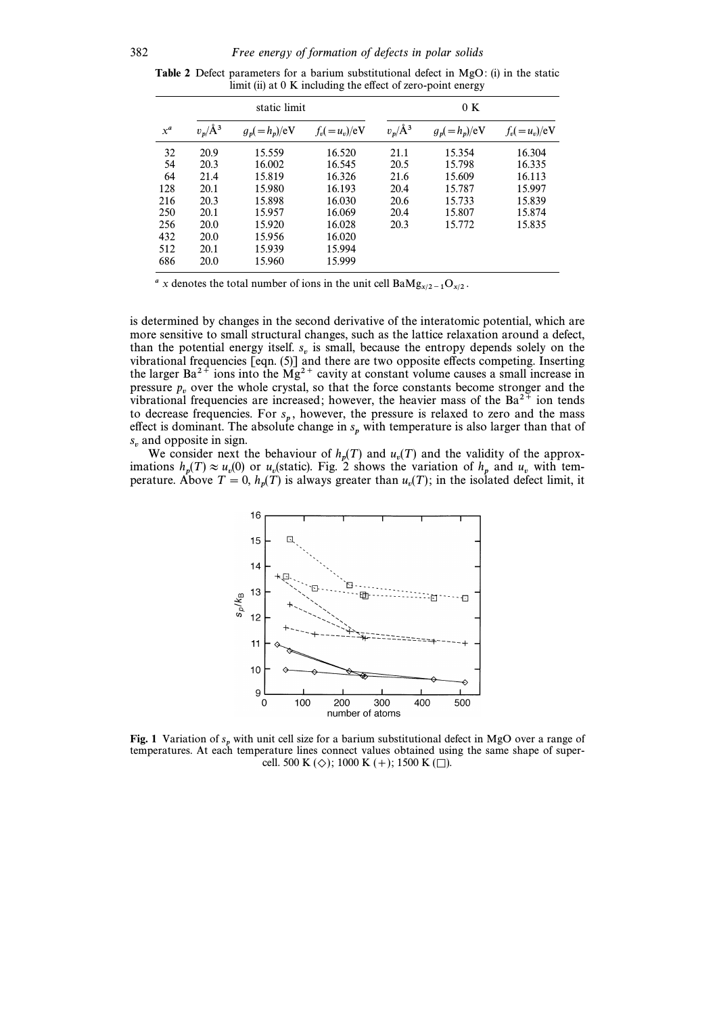|       |                    | static limit   |                |                    | 0 K            |                 |
|-------|--------------------|----------------|----------------|--------------------|----------------|-----------------|
| $x^a$ | $v_p/\text{\AA}^3$ | $g_p(=h_p)/eV$ | $f_v(=u_v)/eV$ | $v_p/\text{\AA}^3$ | $g_p(=h_p)/eV$ | $f_v (=u_v)/eV$ |
| 32    | 20.9               | 15.559         | 16.520         | 21.1               | 15.354         | 16.304          |
| 54    | 20.3               | 16.002         | 16.545         | 20.5               | 15.798         | 16.335          |
| 64    | 21.4               | 15.819         | 16.326         | 21.6               | 15.609         | 16.113          |
| 128   | 20.1               | 15.980         | 16.193         | 20.4               | 15.787         | 15.997          |
| 216   | 20.3               | 15.898         | 16.030         | 20.6               | 15.733         | 15.839          |
| 250   | 20.1               | 15.957         | 16.069         | 20.4               | 15.807         | 15.874          |
| 256   | 20.0               | 15.920         | 16.028         | 20.3               | 15.772         | 15.835          |
| 432   | 20.0               | 15.956         | 16.020         |                    |                |                 |
| 512   | 20.1               | 15.939         | 15.994         |                    |                |                 |
| 686   | 20.0               | 15.960         | 15.999         |                    |                |                 |

Table 2 Defect parameters for a barium substitutional defect in MgO: (i) in the static limit (ii) at 0 K including the effect of zero-point energy

<sup>a</sup> x denotes the total number of ions in the unit cell  $BaMg_{x/2-1}O_{x/2}$ .

is determined by changes in the second derivative of the interatomic potential, which are more sensitive to small structural changes, such as the lattice relaxation around a defect, than the potential energy itself.  $s<sub>v</sub>$  is small, because the entropy depends solely on the vibrational frequencies  $[eqn. (5)]$  and there are two opposite effects competing. Inserting the larger Ba<sup>2+</sup> ions into the Mg<sup>2+</sup> cavity at constant volume causes a small increase in pressure  $p_n$  over the whole crystal, so that the force constants become stronger and the vibrational frequencies are increased; however, the heavier mass of the  $Ba^{2+}$  ion tends to decrease frequencies. For  $s_p$ , however, the pressure is relaxed to zero and the mass between the absolute change in  $s_p$ , with temperature is also larger than that of setect is dominant. The absolute change in  $s_p$  with temperature is also larger than that of

 $s_p$  and opposite in sign.<br>
We consider next the behaviour of  $h_p(T)$  and  $u_v(T)$  and the validity of the approx-<br>
imations  $h(T) \approx u(0)$  or  $u$  (static). Fig. 2 shows the variation of h, and u, with temimations  $h_p(T) \approx u_p(0)$  or  $u_p(\text{static})$ . Fig. 2 shows the variation of  $h_p$  and  $u_p$  with tem-<br>persture. Above  $T = 0$ , k (T) is always greater than  $u(T)$ ; in the isolated defect limit, it perature. Above  $T = 0$ ,  $h_p(T)$  is always greater than  $u_v(T)$ ; in the isolated defect limit, it perature. Above  $T = 0$ ,  $h_p(T)$  is always greater than  $u_v(T)$ ; in the isolated defect limit, it



Fig. 1 Variation of  $s_p$  with unit cell size for a barium substitutional defect in MgO over a range of <sup>p</sup> temperatures. At each temperature lines connect values obtained using the same shape of supercell. 500 K ( $\diamondsuit$ ); 1000 K (+); 1500 K ( $\square$ ).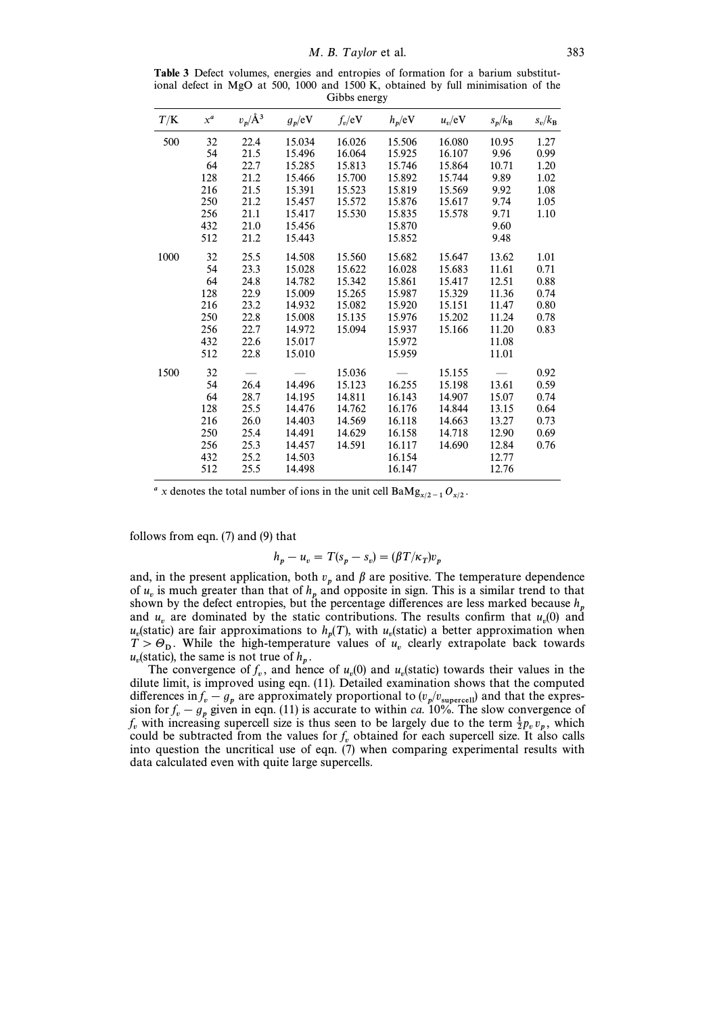Table 3 Defect volumes, energies and entropies of formation for a barium substitutional defect in MgO at 500, 1000 and 1500 K, obtained by full minimisation of the Gibbs energy

| T/K  | $x^a$ | $v_p/\text{\AA}^3$ | $g_p/eV$ | $f_v$ /eV | $h_p/eV$ | $u_p/eV$ | $s_p/k_B$ | $s_v/k_B$ |
|------|-------|--------------------|----------|-----------|----------|----------|-----------|-----------|
| 500  | 32    | 22.4               | 15.034   | 16.026    | 15.506   | 16.080   | 10.95     | 1.27      |
|      | 54    | 21.5               | 15.496   | 16.064    | 15.925   | 16.107   | 9.96      | 0.99      |
|      | 64    | 22.7               | 15.285   | 15.813    | 15.746   | 15.864   | 10.71     | 1.20      |
|      | 128   | 21.2               | 15.466   | 15.700    | 15.892   | 15.744   | 9.89      | 1.02      |
|      | 216   | 21.5               | 15.391   | 15.523    | 15.819   | 15.569   | 9.92      | 1.08      |
|      | 250   | 21.2               | 15.457   | 15.572    | 15.876   | 15.617   | 9.74      | 1.05      |
|      | 256   | 21.1               | 15.417   | 15.530    | 15.835   | 15.578   | 9.71      | 1.10      |
|      | 432   | 21.0               | 15.456   |           | 15.870   |          | 9.60      |           |
|      | 512   | 21.2               | 15.443   |           | 15.852   |          | 9.48      |           |
| 1000 | 32    | 25.5               | 14.508   | 15.560    | 15.682   | 15.647   | 13.62     | 1.01      |
|      | 54    | 23.3               | 15.028   | 15.622    | 16.028   | 15.683   | 11.61     | 0.71      |
|      | 64    | 24.8               | 14.782   | 15.342    | 15.861   | 15.417   | 12.51     | 0.88      |
|      | 128   | 22.9               | 15.009   | 15.265    | 15.987   | 15.329   | 11.36     | 0.74      |
|      | 216   | 23.2               | 14.932   | 15.082    | 15.920   | 15.151   | 11.47     | 0.80      |
|      | 250   | 22.8               | 15.008   | 15.135    | 15.976   | 15.202   | 11.24     | 0.78      |
|      | 256   | 22.7               | 14.972   | 15.094    | 15.937   | 15.166   | 11.20     | 0.83      |
|      | 432   | 22.6               | 15.017   |           | 15.972   |          | 11.08     |           |
|      | 512   | 22.8               | 15.010   |           | 15.959   |          | 11.01     |           |
| 1500 | 32    |                    |          | 15.036    |          | 15.155   |           | 0.92      |
|      | 54    | 26.4               | 14.496   | 15.123    | 16.255   | 15.198   | 13.61     | 0.59      |
|      | 64    | 28.7               | 14.195   | 14.811    | 16.143   | 14.907   | 15.07     | 0.74      |
|      | 128   | 25.5               | 14.476   | 14.762    | 16.176   | 14.844   | 13.15     | 0.64      |
|      | 216   | 26.0               | 14.403   | 14.569    | 16.118   | 14.663   | 13.27     | 0.73      |
|      | 250   | 25.4               | 14.491   | 14.629    | 16.158   | 14.718   | 12.90     | 0.69      |
|      | 256   | 25.3               | 14.457   | 14.591    | 16.117   | 14.690   | 12.84     | 0.76      |
|      | 432   | 25.2               | 14.503   |           | 16.154   |          | 12.77     |           |
|      | 512   | 25.5               | 14.498   |           | 16.147   |          | 12.76     |           |

<sup>a</sup> x denotes the total number of ions in the unit cell  $BaMg_{x/2-1}O_{x/2}$ .

follows from eqn. (7) and (9) that

$$
h_p - u_v = T(s_p - s_v) = (\beta T/\kappa_T)v_p
$$

and, in the present application, both  $v_p$  and  $\beta$  are positive. The temperature dependence of  $u_v$  is much greater than that of  $h_p$  and opposite in sign. This is a similar trend to that shown by the defect entropies bu shown by the defect entropies, but the percentage differences are less marked because  $h_n$ and  $u_p$  are dominated by the static contributions. The results confirm that  $u_p(0)$  and  $v_p(stat)$  are fair annovimations to  $h(T)$  with u (static) a setter annovimation when  $u_v$ (static) are fair approximations to when  $h_v(T)$ , with  $u_v$ (static) a better approximation when  $v_v(x)$ , while the bight temperature values of u, clearly extrapolate back towards  $T > \Theta_D$ . While the high-temperature values of  $u_v$  clearly extrapolate back towards  $T > \Theta_D$ . While the high-temperature values of  $u_v$  clearly extrapolate back towards  $u_v$ (static), the same is not true of  $h_p$ .<br>The convergence of  $f_v$  and hence of  $v(0)$  and  $v$ 

The convergence of  $f_p$ , and hence of  $u_p(0)$  and  $u_p$ (static) towards their values in the The convergence of  $f_v$ , and nence of  $u_v$ (o) and  $u_v$ (state) towards their varies in the dilute limit, is improved using eqn. (11). Detailed examination shows that the computed differences in  $f_v - g_p$  are approximately proportional to  $(v_p/v_{\text{supercell}})$  and that the expres-<br>sion for  $f_{v-1}$  given in eqn. (11) is accurate to within as 10%. The slow convergence of sion for  $f_v - g_p$  given in eqn. (11) is accurate to within *ca*. 10%. The slow convergence of with increasing supercell size is thus seen to be largely due to the term  $\frac{1}{2}n$ , which p f with increasing supercell size is thus seen to be largely due to the term  $\frac{1}{2}p$ ,  $v$ , which increasing supercell size is thus seen to be largely due to the term  $\frac{1}{2}p$ ,  $v$ , which is called to the term  $\frac{1}{$ by which increasing suppresent size is thus seen to be integery due to the term  $2p_v p_p$ , which could be subtracted from the values for  $f_v$  obtained for each supercell size. It also calls into question the uncritical use data calculated even with quite large supercells.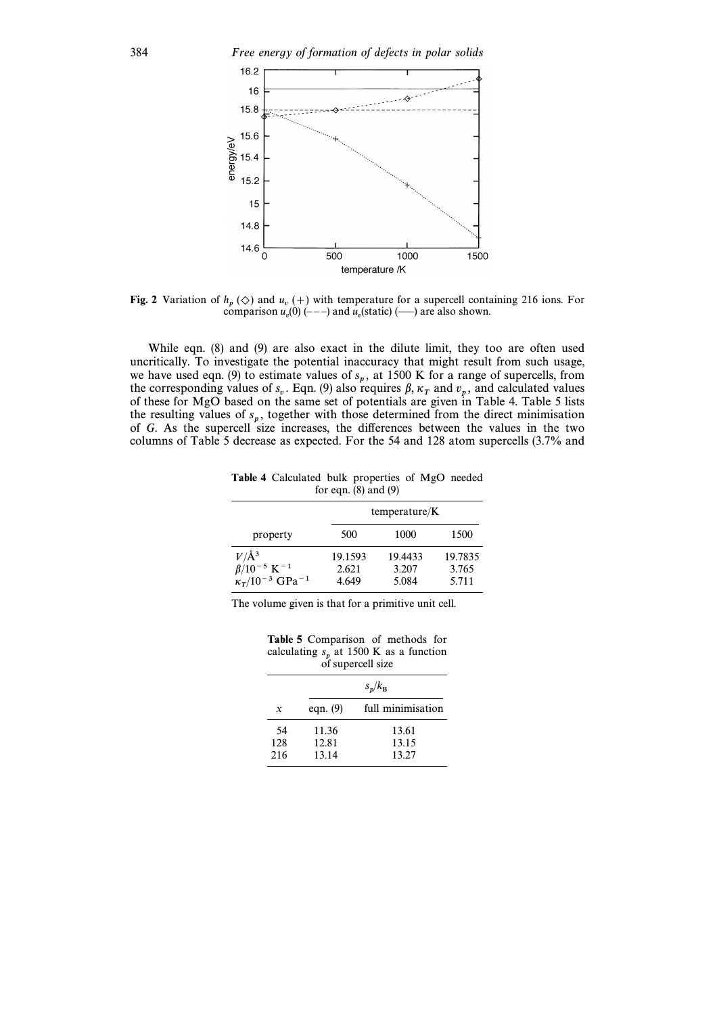

Fig. 2 Variation of  $h_n(\Diamond)$  and  $u_n(+)$  with temperature for a supercell containing 216 ions. For  $u_p(\vee)$  and  $u_v(\vee)$  with temperature for a supercent contraction.

While eqn. (8) and (9) are also exact in the dilute limit, they too are often used uncritically. To investigate the potential inaccuracy that might result from such usage, we have used eqn. (9) to estimate values of  $s_p$ , at 1500 K for a range of supercells, from the corresponding values of  $s_p$ , and  $s_p$ , and the corresponding values of species, non-<br>of these for MgO based on the same set of potentials are given in Table 4. Table 5 lists of these for MgO based on the same set of potentials are given in Table 4. Table 5 lists the resulting values of  $s_p$ , together with those determined from the direct minimisation of G. As the supercell size increases, the differences between the values in the two columns of Table 5 decrease as expected. For the 54 and 128 atom supercells (3.7% and

| <b>Table 4</b> Calculated bulk properties of MgO needed |                          |  |  |
|---------------------------------------------------------|--------------------------|--|--|
|                                                         | for eqn. $(8)$ and $(9)$ |  |  |

|                                                                                   |                | temperature/K  |                |  |  |  |
|-----------------------------------------------------------------------------------|----------------|----------------|----------------|--|--|--|
| property                                                                          | 500            | 1000           | 1500           |  |  |  |
| $V/\AA$ <sup>3</sup>                                                              | 19.1593        | 19.4433        | 19.7835        |  |  |  |
| $\beta$ /10 <sup>-5</sup> K <sup>-1</sup><br>$\kappa_T/10^{-3}$ GPa <sup>-1</sup> | 2.621<br>4.649 | 3.207<br>5.084 | 3.765<br>5.711 |  |  |  |

The volume given is that for a primitive unit cell.

| <b>Table 5</b> Comparison of methods for  |  |  |  |  |  |  |  |
|-------------------------------------------|--|--|--|--|--|--|--|
| calculating $s_n$ at 1500 K as a function |  |  |  |  |  |  |  |
| of supercell size                         |  |  |  |  |  |  |  |

|            | $S_p/k_B$      |                   |  |  |
|------------|----------------|-------------------|--|--|
| x          | eqn. $(9)$     | full minimisation |  |  |
| 54         | 11.36          | 13.61             |  |  |
| 128<br>216 | 12.81<br>13.14 | 13.15<br>13.27    |  |  |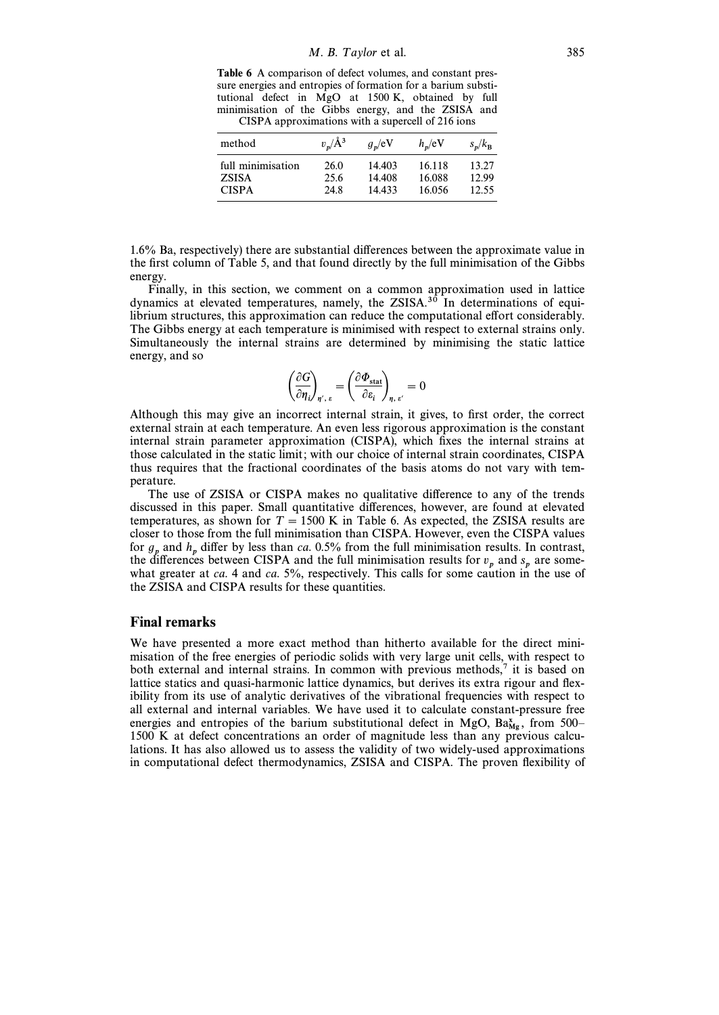Table 6 A comparison of defect volumes, and constant pressure energies and entropies of formation for a barium substitutional defect in MgO at 1500 K, obtained by full minimisation of the Gibbs energy, and the ZSISA and CISPA approximations with a supercell of 216 ions

| method            | $v_n / \AA^3$ | $g_p/eV$ | $h_n/eV$ | $S_p/k_B$ |
|-------------------|---------------|----------|----------|-----------|
| full minimisation | 26.0          | 14.403   | 16.118   | 13.27     |
| <b>ZSISA</b>      | 25.6          | 14.408   | 16.088   | 12.99     |
| <b>CISPA</b>      | 24.8          | 14.433   | 16.056   | 12.55     |

1.6% Ba, respectively) there are substantial di†erences between the approximate value in the first column of Table 5, and that found directly by the full minimisation of the Gibbs energy.

Finally, in this section, we comment on a common approximation used in lattice dynamics at elevated temperatures, namely, the ZSISA.<sup>30</sup> In determinations of equilibrium structures, this approximation can reduce the computational effort considerably. The Gibbs energy at each temperature is minimised with respect to external strains only. Simultaneously the internal strains are determined by minimising the static lattice energy, and so

$$
\left(\frac{\partial G}{\partial \eta_i}\right)_{\eta',\,\varepsilon} = \left(\frac{\partial \varPhi_{\text{stat}}}{\partial \varepsilon_i}\right)_{\eta,\,\varepsilon'} = 0
$$

Although this may give an incorrect internal strain, it gives, to first order, the correct external strain at each temperature. An even less rigorous approximation is the constant internal strain parameter approximation (CISPA), which fixes the internal strains at those calculated in the static limit; with our choice of internal strain coordinates, CISPA thus requires that the fractional coordinates of the basis atoms do not vary with temperature.

The use of ZSISA or CISPA makes no qualitative di†erence to any of the trends discussed in this paper. Small quantitative di†erences, however, are found at elevated temperatures, as shown for  $T = 1500 \text{ K}$  in Table 6. As expected, the ZSISA results are closer to those from the full minimisation than CISPA. However, even the CISPA values for  $g<sub>p</sub>$  and  $h<sub>p</sub>$  differ by less than ca. 0.5% from the full minimisation results. In contrast, p the differences between CISPA and the full minimisation results for  $v_p$  and  $s_p$  are some-<br>what grader at and are some-original minimisation results for  $v_p$  and  $s_p$  are somewhat greater at ca. 4 and ca. 5%, respectively. This calls for some caution in the use of the ZSISA and CISPA results for these quantities.

### Final remarks

We have presented a more exact method than hitherto available for the direct minimisation of the free energies of periodic solids with very large unit cells, with respect to both external and internal strains. In common with previous methods,<sup>7</sup> it is based on lattice statics and quasi-harmonic lattice dynamics, but derives its extra rigour and flexibility from its use of analytic derivatives of the vibrational frequencies with respect to all external and internal variables. We have used it to calculate constant-pressure free energies and entropies of the barium substitutional defect in MgO,  $Ba_{Mg}^{x}$ , from 500-1500 K at defect concentrations an order of magnitude less than any previous calculations. It has also allowed us to assess the validity of two widely-used approximations in computational defect thermodynamics, ZSISA and CISPA. The proven flexibility of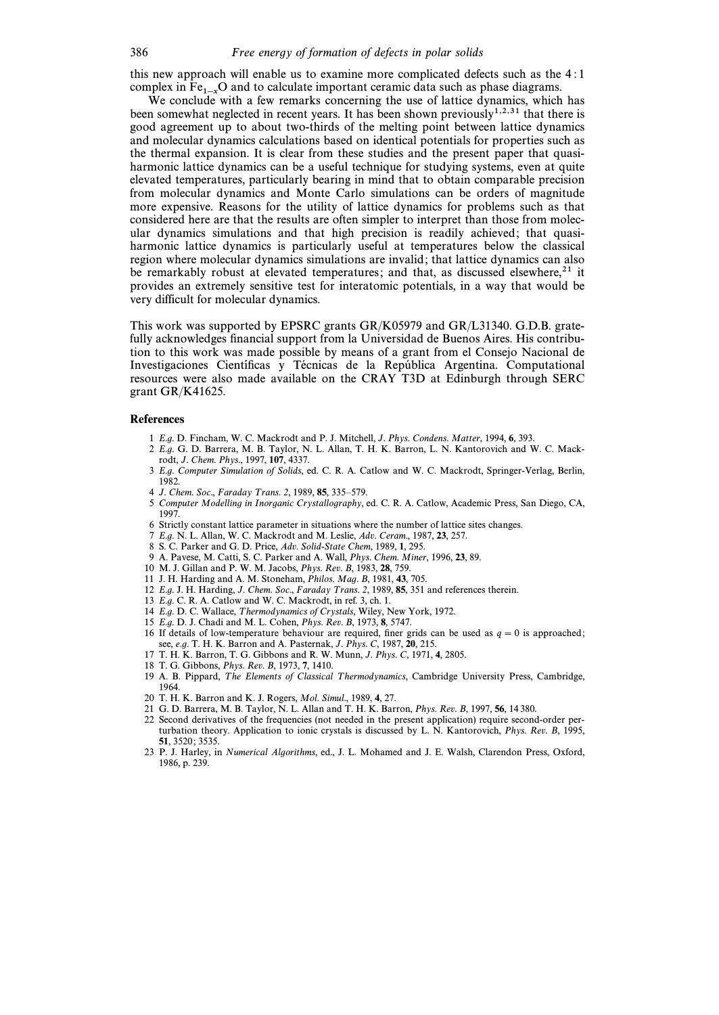this new approach will enable us to examine more complicated defects such as the 4 :1 complex in  $Fe_{1-x}O$  and to calculate important ceramic data such as phase diagrams.<br>We conclude with a few remarks concerning the use of lattice dynamics, which

We conclude with a few remarks concerning the use of lattice dynamics, which has been somewhat neglected in recent years. It has been shown previously<sup>1,2,31</sup> that there is good agreement up to about two-thirds of the melting point between lattice dynamics and molecular dynamics calculations based on identical potentials for properties such as the thermal expansion. It is clear from these studies and the present paper that quasiharmonic lattice dynamics can be a useful technique for studying systems, even at quite elevated temperatures, particularly bearing in mind that to obtain comparable precision from molecular dynamics and Monte Carlo simulations can be orders of magnitude more expensive. Reasons for the utility of lattice dynamics for problems such as that considered here are that the results are often simpler to interpret than those from molecular dynamics simulations and that high precision is readily achieved; that quasiharmonic lattice dynamics is particularly useful at temperatures below the classical region where molecular dynamics simulations are invalid; that lattice dynamics can also be remarkably robust at elevated temperatures; and that, as discussed elsewhere,<sup>21</sup> it provides an extremely sensitive test for interatomic potentials, in a way that would be very difficult for molecular dynamics.

This work was supported by EPSRC grants GR/K05979 and GR/L31340. G.D.B. gratefully acknowledges financial support from la Universidad de Buenos Aires. His contribution to this work was made possible by means of a grant from el Consejo Nacional de Investigaciones Científicas y Técnicas de la República Argentina. Computational resources were also made available on the CRAY T3D at Edinburgh through SERC grant GR/K41625.

#### References

- 1 E.g. D. Fincham, W. C. Mackrodt and P. J. Mitchell, J. Phys. Condens. Matter, 1994, 6, 393.
- 2 E.g. G. D. Barrera, M. B. Taylor, N. L. Allan, T. H. K. Barron, L. N. Kantorovich and W. C. Mackrodt, J. Chem. Phys., 1997, 107, 4337.
- 3 E.g. Computer Simulation of Solids, ed. C. R. A. Catlow and W. C. Mackrodt, Springer-Verlag, Berlin, 1982.
- 4 J. Chem. Soc., Faraday Trans. 2, 1989, 85, 335-579.
- 5 Computer Modelling in Inorganic Crystallography, ed. C. R. A. Catlow, Academic Press, San Diego, CA, 1997.
- 6 Strictly constant lattice parameter in situations where the number of lattice sites changes.
- 7 E.g. N. L. Allan, W. C. Mackrodt and M. Leslie, Adv. Ceram., 1987, 23, 257.
- 8 S. C. Parker and G. D. Price, Adv. Solid-State Chem, 1989, 1, 295.
- 9 A. Pavese, M. Catti, S. C. Parker and A. Wall, Phys. Chem. Miner, 1996, 23, 89.
- 10 M. J. Gillan and P. W. M. Jacobs, Phys. Rev. B, 1983, 28, 759.
- 11 J. H. Harding and A. M. Stoneham, Philos. Mag. B, 1981, 43, 705.
- 12 E.g. J. H. Harding, J. Chem. Soc., Faraday Trans. 2, 1989, 85, 351 and references therein.
- 13 E.g. C. R. A. Catlow and W. C. Mackrodt, in ref. 3, ch. 1.
- 14 E.g. D. C. Wallace, Thermodynamics of Crystals, Wiley, New York, 1972.
- 15 E.g. D. J. Chadi and M. L. Cohen, Phys. Rev. B, 1973, 8, 5747.
- 16 If details of low-temperature behaviour are required, finer grids can be used as  $q = 0$  is approached; see, *e.g.* T. H. K. Barron and A. Pasternak, J. Phys. C, 1987, 20, 215.
- 17 T. H. K. Barron, T. G. Gibbons and R. W. Munn, J. Phys. C, 1971, 4, 2805.
- 18 T. G. Gibbons, Phys. Rev. B, 1973, 7, 1410.
- 19 A. B. Pippard, The Elements of Classical Thermodynamics, Cambridge University Press, Cambridge, 1964.
- 20 T. H. K. Barron and K. J. Rogers, Mol. Simul., 1989, 4, 27.
- 21 G. D. Barrera, M. B. Taylor, N. L. Allan and T. H. K. Barron, Phys. Rev. B, 1997, 56, 14 380.
- 22 Second derivatives of the frequencies (not needed in the present application) require second-order perturbation theory. Application to ionic crystals is discussed by L. N. Kantorovich, Phys. Rev. B, 1995, 51, 3520; 3535.
- 23 P. J. Harley, in Numerical Algorithms, ed., J. L. Mohamed and J. E. Walsh, Clarendon Press, Oxford, 1986, p. 239.